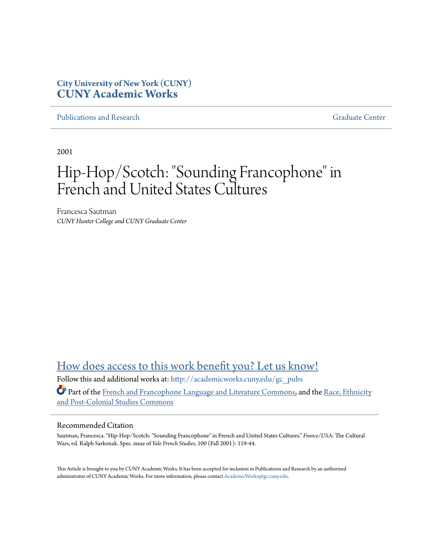### **City University of New York (CUNY) [CUNY Academic Works](http://academicworks.cuny.edu?utm_source=academicworks.cuny.edu%2Fgc_pubs%2F226&utm_medium=PDF&utm_campaign=PDFCoverPages)**

[Publications and Research](http://academicworks.cuny.edu/gc_pubs?utm_source=academicworks.cuny.edu%2Fgc_pubs%2F226&utm_medium=PDF&utm_campaign=PDFCoverPages) [Graduate Center](http://academicworks.cuny.edu/gc?utm_source=academicworks.cuny.edu%2Fgc_pubs%2F226&utm_medium=PDF&utm_campaign=PDFCoverPages) Center Graduate Center

2001

# Hip-Hop/Scotch: "Sounding Francophone" in French and United States Cultures

Francesca Sautman *CUNY Hunter College and CUNY Graduate Center*

### [How does access to this work benefit you? Let us know!](http://ols.cuny.edu/academicworks/?ref=http://academicworks.cuny.edu/gc_pubs/226)

Follow this and additional works at: [http://academicworks.cuny.edu/gc\\_pubs](http://academicworks.cuny.edu/gc_pubs?utm_source=academicworks.cuny.edu%2Fgc_pubs%2F226&utm_medium=PDF&utm_campaign=PDFCoverPages)

Part of the [French and Francophone Language and Literature Commons](http://network.bepress.com/hgg/discipline/463?utm_source=academicworks.cuny.edu%2Fgc_pubs%2F226&utm_medium=PDF&utm_campaign=PDFCoverPages), and the [Race, Ethnicity](http://network.bepress.com/hgg/discipline/566?utm_source=academicworks.cuny.edu%2Fgc_pubs%2F226&utm_medium=PDF&utm_campaign=PDFCoverPages) [and Post-Colonial Studies Commons](http://network.bepress.com/hgg/discipline/566?utm_source=academicworks.cuny.edu%2Fgc_pubs%2F226&utm_medium=PDF&utm_campaign=PDFCoverPages)

#### Recommended Citation

Sautman, Francesca. "Hip-Hop/Scotch: "Sounding Francophone" in French and United States Cultures." *France/USA*: The Cultural Wars, ed. Ralph Sarkonak. Spec. issue of *Yale French Studies*, 100 (Fall 2001): 119-44.

This Article is brought to you by CUNY Academic Works. It has been accepted for inclusion in Publications and Research by an authorized administrator of CUNY Academic Works. For more information, please contact [AcademicWorks@gc.cuny.edu.](mailto:AcademicWorks@gc.cuny.edu%3E)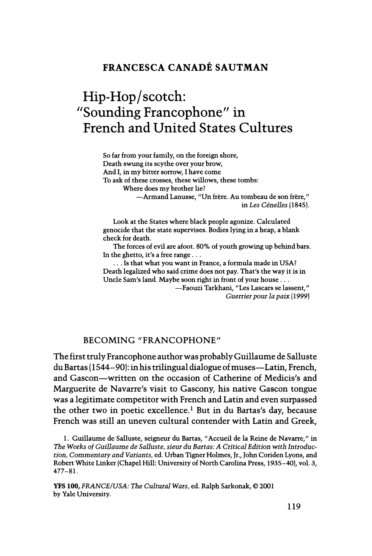### FRANCESCA CANADE SAUTMAN

## Hip-Hop/scotch: "Sounding Francophone" in French and United States Cultures

 So far from your family, on the foreign shore, Death swung its scythe over your brow, And I, in my bitter sorrow, I have come To ask of these crosses, these willows, these tombs: Where does my brother lie? -Armand Lanusse, "Un frère. Au tombeau de son frère," in Les Cénelles (1845).

 Look at the States where black people agonize. Calculated genocide that the state supervises. Bodies lying in a heap, a blank check for death.

 The forces of evil are afoot. 80% of youth growing up behind bars. In the ghetto, it's a free range ...

 ... Is that what you want in France, a formula made in USA? Death legalized who said crime does not pay. That's the way it is in Uncle Sam's land. Maybe soon right in front of your house...

 -Faouzi Tarkhani, "Les Lascars se lassent," Guerrier pour la paix (1999)

#### BECOMING "FRANCOPHONE"

 The first truly Francophone author was probably Guillaume de Salluste du Bartas (1544 - 90): in his trilingual dialogue of muses-Latin, French, and Gascon-written on the occasion of Catherine of Medicis's and Marguerite de Navarre's visit to Gascony, his native Gascon tongue was a legitimate competitor with French and Latin and even surpassed the other two in poetic excellence.' But in du Bartas's day, because French was still an uneven cultural contender with Latin and Greek,

 1. Guillaume de Salluste, seigneur du Bartas, "Accueil de la Reine de Navarre," in The Works of Guillaume de Salluste, sieur du Bartas: A Critical Edition with Introduc tion, Commentary and Variants, ed. Urban Tigner Holmes, Jr., John Coriden Lyons, and Robert White Linker (Chapel Hill: University of North Carolina Press, 1935-40), vol. 3, 477-81.

YFS 100, FRANCE/USA: The Cultural Wars, ed. Ralph Sarkonak, © 2001 by Yale University.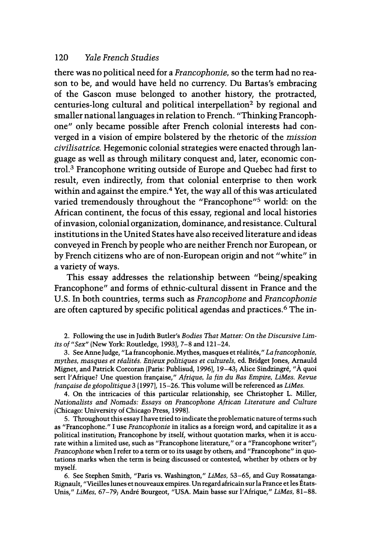there was no political need for a Francophonie, so the term had no rea son to be, and would have held no currency. Du Bartas's embracing of the Gascon muse belonged to another history, the protracted, centuries-long cultural and political interpellation2 by regional and smaller national languages in relation to French. "Thinking Francoph one" only became possible after French colonial interests had con verged in a vision of empire bolstered by the rhetoric of the mission civilisatrice. Hegemonic colonial strategies were enacted through lan guage as well as through military conquest and, later, economic con trol.3 Francophone writing outside of Europe and Quebec had first to result, even indirectly, from that colonial enterprise to then work within and against the empire.<sup>4</sup> Yet, the way all of this was articulated varied tremendously throughout the "Francophone"5 world: on the African continent, the focus of this essay, regional and local histories of invasion, colonial organization, dominance, and resistance. Cultural institutions in the United States have also received literature and ideas conveyed in French by people who are neither French nor European, or by French citizens who are of non-European origin and not "white" in a variety of ways.

 This essay addresses the relationship between "being/speaking Francophone" and forms of ethnic-cultural dissent in France and the U.S. In both countries, terms such as Francophone and Francophonie are often captured by specific political agendas and practices.<sup>6</sup> The in-

 2. Following the use in Judith Butler's Bodies That Matter: On the Discursive Lim its of "Sex" (New York: Routledge, 1993), 7-8 and 121-24.

3. See Anne Judge, "La francophonie. Mythes, masques et réalités," La francophonie, mythes, masques et réalités. Enjeux politiques et culturels, ed. Bridget Jones, Arnauld Mignet, and Patrick Corcoran (Paris: Publisud, 1996), 19-43; Alice Sindzingre, "A quoi sert l'Afrique? Une question francaise," Afrique, la fin du Bas Empire, LiMes. Revue française de géopolitique 3 (1997), 15-26. This volume will be referenced as LiMes.

 4. On the intricacies of this particular relationship, see Christopher L. Miller, Nationalists and Nomads: Essays on Francophone African Literature and Culture (Chicago: University of Chicago Press, 1998).

 5. Throughout this essay I have tried to indicate the problematic nature of terms such as "Francophone." I use Francophonie in italics as a foreign word, and capitalize it as a political institution; Francophone by itself, without quotation marks, when it is accu rate within a limited use, such as "Francophone literature," or a "Francophone writer"; Francophone when I refer to a term or to its usage by others; and "Francophone" in quo tations marks when the term is being discussed or contested, whether by others or by myself.

 6. See Stephen Smith, "Paris vs. Washington," LiMes, 53-65, and Guy Rossatanga- Rignault, "Vieilles lunes et nouveaux empires. Un regard africain sur la France et les États-Unis," LiMes, 67-79; Andre Bourgeot, "USA. Main basse sur l'Afrique," LiMes, 81-88.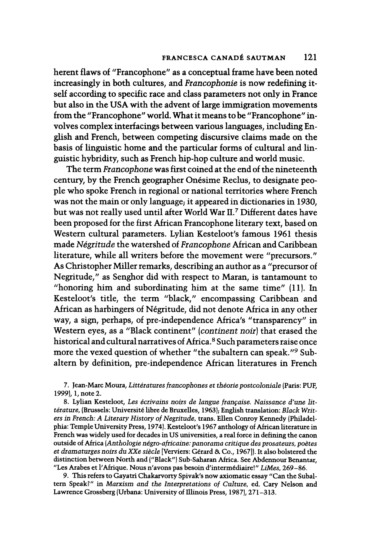herent flaws of "Francophone" as a conceptual frame have been noted increasingly in both cultures, and Francophonie is now redefining it self according to specific race and class parameters not only in France but also in the USA with the advent of large immigration movements from the "Francophone" world. What it means to be "Francophone" in volves complex interfacings between various languages, including En glish and French, between competing discursive claims made on the basis of linguistic home and the particular forms of cultural and lin guistic hybridity, such as French hip-hop culture and world music.

The term Francophone was first coined at the end of the nineteenth century, by the French geographer Onésime Reclus, to designate peo ple who spoke French in regional or national territories where French was not the main or only language; it appeared in dictionaries in 1930, but was not really used until after World War II.7 Different dates have been proposed for the first African Francophone literary text, based on Western cultural parameters. Lylian Kesteloot's famous 1961 thesis made Négritude the watershed of Francophone African and Caribbean literature, while all writers before the movement were "precursors." As Christopher Miller remarks, describing an author as a "precursor of Negritude," as Senghor did with respect to Maran, is tantamount to "honoring him and subordinating him at the same time" (11). In Kesteloot's title, the term "black," encompassing Caribbean and African as harbingers of N6gritude, did not denote Africa in any other way, a sign, perhaps, of pre-independence Africa's "transparency" in Western eyes, as a "Black continent" (continent noir) that erased the historical and cultural narratives of Africa.<sup>8</sup> Such parameters raise once more the vexed question of whether "the subaltern can speak."9 Sub altern by definition, pre-independence African literatures in French

 7. Jean-Marc Moura, Litteratures francophones et theorie postcoloniale (Paris: PUF, 1999), 1, note 2.

 8. Lylian Kesteloot, Les 6crivains noirs de langue francaise. Naissance d'une lit térature, (Brussels: Université libre de Bruxelles, 1963); English translation: Black Writ ers in French: A Literary History of Negritude, trans. Ellen Conroy Kennedy (Philadel phia: Temple University Press, 1974). Kesteloot's 1967 anthology of African literature in French was widely used for decades in US universities, a real force in defining the canon outside of Africa (Anthologie négro-africaine: panorama critique des prosateurs, poètes et dramaturges noirs du XXe siecle [Verviers: Gerard & Co., 19671). It also bolstered the distinction between North and ("Black") Sub-Saharan Africa. See Abdennour Benantar, "Les Arabes et l'Afrique. Nous n'avons pas besoin d'intermediaire!" LiMes, 269-86.

 9. This refers to Gayatri Chakarvorty Spivak's now axiomatic essay "Can the Subal tern Speak?" in Marxism and the Interpretations of Culture, ed. Cary Nelson and Lawrence Grossberg (Urbana: University of Illinois Press, 1987), 271-313.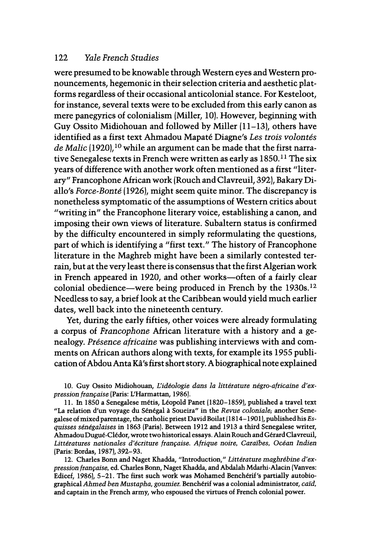were presumed to be knowable through Western eyes and Western pro nouncements, hegemonic in their selection criteria and aesthetic plat forms regardless of their occasional anticolonial stance. For Kesteloot, for instance, several texts were to be excluded from this early canon as mere panegyrics of colonialism (Miller, 10). However, beginning with Guy Ossito Midiohouan and followed by Miller (11-13), others have identified as a first text Ahmadou Mapaté Diagne's Les trois volontés de Malic (1920),  $10$  while an argument can be made that the first narrative Senegalese texts in French were written as early as 1850.<sup>11</sup> The six years of difference with another work often mentioned as a first "liter ary" Francophone African work (Rouch and Clavreuil, 392), Bakary Di allo's Force-Bonté (1926), might seem quite minor. The discrepancy is nonetheless symptomatic of the assumptions of Western critics about "writing in" the Francophone literary voice, establishing a canon, and imposing their own views of literature. Subaltern status is confirmed by the difficulty encountered in simply reformulating the questions, part of which is identifying a "first text." The history of Francophone literature in the Maghreb might have been a similarly contested ter rain, but at the very least there is consensus that the first Algerian work in French appeared in 1920, and other works-often of a fairly clear colonial obedience—were being produced in French by the 1930s.<sup>12</sup> Needless to say, a brief look at the Caribbean would yield much earlier dates, well back into the nineteenth century.

 Yet, during the early fifties, other voices were already formulating a corpus of Francophone African literature with a history and a ge nealogy. Présence africaine was publishing interviews with and com ments on African authors along with texts, for example its 1955 publi cation of Abdou Anta Ka's first short story. A biographical note explained

10. Guy Ossito Midiohouan, L'idéologie dans la littérature négro-africaine d'expression française (Paris: L'Harmattan, 1986).

 11. In 1850 a Senegalese m6tis, Leopold Panet (1820-1859), published a travel text "La relation d'un voyage du Sénégal à Soueira" in the Revue coloniale; another Sene galese of mixedparentage, the catholic priest David Boilat (1814-1901), published his Es quisses sénégalaises in 1863 (Paris). Between 1912 and 1913 a third Senegalese writer, Ahmadou Dugué-Clédor, wrote two historical essays. Alain Rouch and Gérard Clavreuil, Littératures nationales d'écriture française. Afrique noire, Caraïbes, Océan Indien (Paris: Bordas, 1987), 392-93.

12. Charles Bonn and Naget Khadda, "Introduction," Littérature maghrébine d'expression française, ed. Charles Bonn, Naget Khadda, and Abdalah Mdarhi-Alacin (Vanves: Edicef, 1986), 5-21. The first such work was Mohamed Benchérif's partially autobio graphical Ahmed ben Mustapha, goumier. Bencherif was a colonial administrator, caid, and captain in the French army, who espoused the virtues of French colonial power.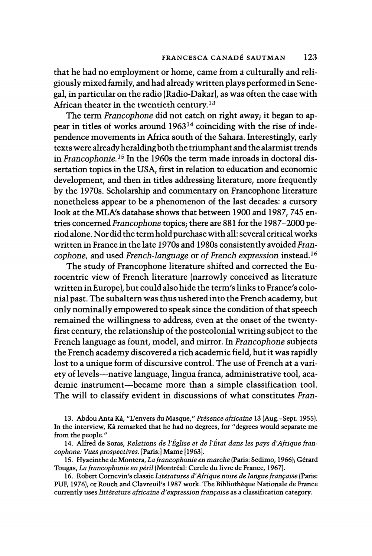that he had no employment or home, came from a culturally and reli giously mixed family, and had already written plays performed in Sene gal, in particular on the radio (Radio-Dakar), as was often the case with African theater in the twentieth century.<sup>13</sup>

The term Francophone did not catch on right away; it began to appear in titles of works around 1963<sup>14</sup> coinciding with the rise of inde pendence movements in Africa south of the Sahara. Interestingly, early texts were already heralding both the triumphant and the alarmist trends in Francophonie.15 In the 1960s the term made inroads in doctoral dis sertation topics in the USA, first in relation to education and economic development, and then in titles addressing literature, more frequently by the 1970s. Scholarship and commentary on Francophone literature nonetheless appear to be a phenomenon of the last decades: a cursory look at the MLA's database shows that between 1900 and 1987, 745 en tries concerned Francophone topics; there are 881 for the 1987-2000 pe riod alone. Nor did the term hold purchase with all: several critical works written in France in the late 1970s and 1980s consistently avoided Fran cophone, and used French-language or of French expression instead.16

 The study of Francophone literature shifted and corrected the Eu rocentric view of French literature (narrowly conceived as literature written in Europe), but could also hide the term's links to France's colo nial past. The subaltern was thus ushered into the French academy, but only nominally empowered to speak since the condition of that speech remained the willingness to address, even at the onset of the twenty first century, the relationship of the postcolonial writing subject to the French language as fount, model, and mirror. In Francophone subjects the French academy discovered a rich academic field, but it was rapidly lost to a unique form of discursive control. The use of French at a vari ety of levels-native language, lingua franca, administrative tool, aca demic instrument-became more than a simple classification tool. The will to classify evident in discussions of what constitutes Fran-

13. Abdou Anta Kâ, "L'envers du Masque," Présence africaine 13 (Aug.-Sept. 1955). In the interview, Ka remarked that he had no degrees, for "degrees would separate me from the people."

14. Alfred de Soras, Relations de l'Église et de l'État dans les pays d'Afrique francophone: Vues prospectives. [Paris:] Mame [1963].

15. Hyacinthe de Montera, La francophonie en marche (Paris: Sedimo, 1966); Gérard Tougas, La francophonie en péril (Montréal: Cercle du livre de France, 1967).

16. Robert Cornevin's classic Litératures d'Afrique noire de langue française (Paris: PUF, 1976), or Rouch and Clavreuil's 1987 work. The Bibliotheque Nationale de France currently uses littérature africaine d'expression française as a classification category.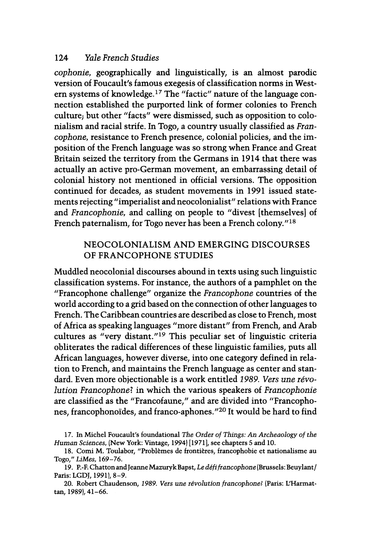cophonie, geographically and linguistically, is an almost parodic version of Foucault's famous exegesis of classification norms in West ern systems of knowledge.<sup>17</sup> The "factic" nature of the language con nection established the purported link of former colonies to French culture; but other "facts" were dismissed, such as opposition to colo nialism and racial strife. In Togo, a country usually classified as Fran cophone, resistance to French presence, colonial policies, and the im position of the French language was so strong when France and Great Britain seized the territory from the Germans in 1914 that there was actually an active pro-German movement, an embarrassing detail of colonial history not mentioned in official versions. The opposition continued for decades, as student movements in 1991 issued state ments rejecting "imperialist and neocolonialist" relations with France and Francophonie, and calling on people to "divest [themselves] of French paternalism, for Togo never has been a French colony."18

#### NEOCOLONIALISM AND EMERGING DISCOURSES OF FRANCOPHONE STUDIES

 Muddled neocolonial discourses abound in texts using such linguistic classification systems. For instance, the authors of a pamphlet on the "Francophone challenge" organize the Francophone countries of the world according to a grid based on the connection of other languages to French. The Caribbean countries are described as close to French, most of Africa as speaking languages "more distant" from French, and Arab cultures as "very distant."19 This peculiar set of linguistic criteria obliterates the radical differences of these linguistic families, puts all African languages, however diverse, into one category defined in rela tion to French, and maintains the French language as center and stan dard. Even more objectionable is a work entitled 1989. Vers une révo lution Francophone? in which the various speakers of Francophonie are classified as the "Francofaune," and are divided into "Francopho nes, francophonoides, and franco-aphones."20 It would be hard to find

 <sup>17.</sup> In Michel Foucault's foundational The Order of Things: An Archeaology of the Human Sciences, (New York: Vintage, 1994) [1971], see chapters 5 and 10.

 <sup>18.</sup> Comi M. Toulabor, "Problemes de frontieres, francophobie et nationalisme au Togo," LiMes, 169-76.

<sup>19.</sup> P.-F. Chatton and Jeanne Mazuryk Bapst, Le défi francophone (Brussels: Beuylant/ Paris: LGDJ, 1991), 8-9.

<sup>20.</sup> Robert Chaudenson, 1989. Vers une révolution francophone! (Paris: L'Harmattan, 1989), 41-66.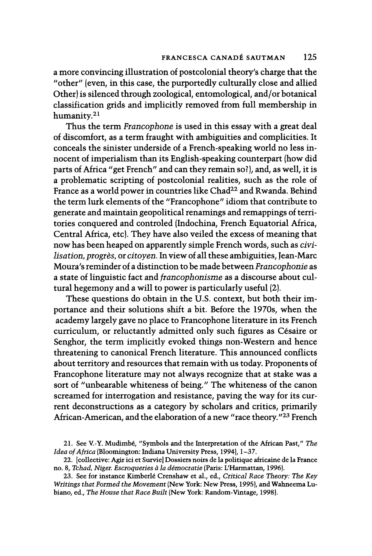a more convincing illustration of postcolonial theory's charge that the "other" (even, in this case, the purportedly culturally close and allied Other) is silenced through zoological, entomological, and/or botanical classification grids and implicitly removed from full membership in humanity.21

Thus the term Francophone is used in this essay with a great deal of discomfort, as a term fraught with ambiguities and complicities. It conceals the sinister underside of a French-speaking world no less in nocent of imperialism than its English-speaking counterpart (how did parts of Africa "get French" and can they remain so?), and, as well, it is a problematic scripting of postcolonial realities, such as the role of France as a world power in countries like Chad<sup>22</sup> and Rwanda. Behind the term lurk elements of the "Francophone" idiom that contribute to generate and maintain geopolitical renamings and remappings of terri tories conquered and controled (Indochina, French Equatorial Africa, Central Africa, etc). They have also veiled the excess of meaning that now has been heaped on apparently simple French words, such as civi lisation, progrès, or citoyen. In view of all these ambiguities, Jean-Marc Moura's reminder of a distinction to be made between Francophonie as a state of linguistic fact and francophonisme as a discourse about cul tural hegemony and a will to power is particularly useful (2).

 These questions do obtain in the U.S. context, but both their im portance and their solutions shift a bit. Before the 1970s, when the academy largely gave no place to Francophone literature in its French curriculum, or reluctantly admitted only such figures as Césaire or Senghor, the term implicitly evoked things non-Western and hence threatening to canonical French literature. This announced conflicts about territory and resources that remain with us today. Proponents of Francophone literature may not always recognize that at stake was a sort of "unbearable whiteness of being." The whiteness of the canon screamed for interrogation and resistance, paving the way for its cur rent deconstructions as a category by scholars and critics, primarily African-American, and the elaboration of a new "race theory."23 French

<sup>21.</sup> See V.-Y. Mudimbé, "Symbols and the Interpretation of the African Past," The Idea of Africa (Bloomington: Indiana University Press, 1994), 1-37.

 <sup>22. [</sup>collective: Agir ici et Survie] Dossiers noirs de la politique africaine de la France no. 8, Tchad, Niger. Escroqueries a la democratie (Paris: L'Harmattan, 1996).

 <sup>23.</sup> See for instance Kimberle Crenshaw et al., ed., Critical Race Theory: The Key Writings that Formed the Movement (New York: New Press, 1995), and Wahneema Lu biano, ed., The House that Race Built (New York: Random-Vintage, 1998).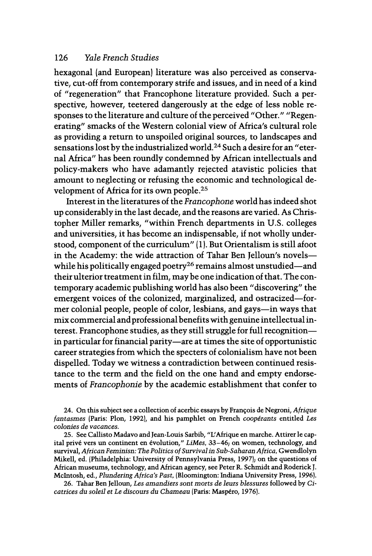hexagonal (and European) literature was also perceived as conserva tive, cut-off from contemporary strife and issues, and in need of a kind of "regeneration" that Francophone literature provided. Such a per spective, however, teetered dangerously at the edge of less noble re sponses to the literature and culture of the perceived "Other." "Regen erating" smacks of the Western colonial view of Africa's cultural role as providing a return to unspoiled original sources, to landscapes and sensations lost by the industrialized world.<sup>24</sup> Such a desire for an "eter nal Africa" has been roundly condemned by African intellectuals and policy-makers who have adamantly rejected atavistic policies that amount to neglecting or refusing the economic and technological de velopment of Africa for its own people.25

 Interest in the literatures of the Francophone world has indeed shot up considerably in the last decade, and the reasons are varied. As Chris topher Miller remarks, "within French departments in U.S. colleges and universities, it has become an indispensable, if not wholly under stood, component of the curriculum" (1). But Orientalism is still afoot in the Academy: the wide attraction of Tahar Ben Jelloun's novelswhile his politically engaged poetry<sup>26</sup> remains almost unstudied—and their ulterior treatment in film, may be one indication of that. The con temporary academic publishing world has also been "discovering" the emergent voices of the colonized, marginalized, and ostracized-former colonial people, people of color, lesbians, and gays-in ways that mix commercial and professional benefits with genuine intellectual in terest. Francophone studies, as they still struggle for full recognition in particular for financial parity—are at times the site of opportunistic career strategies from which the specters of colonialism have not been dispelled. Today we witness a contradiction between continued resis tance to the term and the field on the one hand and empty endorse ments of Francophonie by the academic establishment that confer to

 24. On this subject see a collection of acerbic essays by Francois de Negroni, Afrique fantasmes (Paris: Plon, 1992), and his pamphlet on French cooperants entitled Les colonies de vacances.

 25. See Callisto Madavo and Jean-Louis Sarbib, "L'Afrique en marche. Attirer le cap ital prive vers un continent en evolution," LiMes, 33-46; on women, technology, and survival, African Feminisn: The Politics of Survival in Sub-Saharan Africa, Gwendlolyn Mikell, ed. (Philadelphia: University of Pennsylvania Press, 1997); on the questions of African museums, technology, and African agency, see Peter R. Schmidt and Roderick J. McIntosh, ed., Plundering Africa's Past, (Bloomington: Indiana University Press, 1996).

 26. Tahar Ben Jelloun, Les amandiers sont morts de leurs blessures followed by Ci catrices du soleil et Le discours du Chameau (Paris: Maspéro, 1976).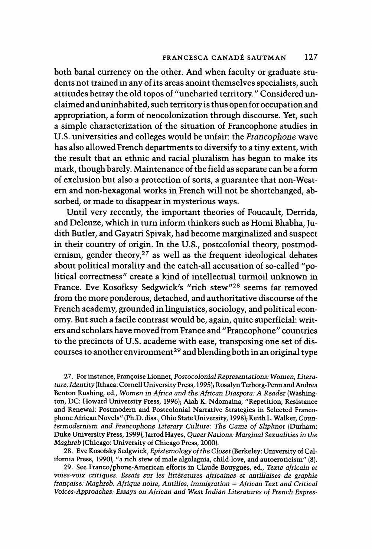both banal currency on the other. And when faculty or graduate stu dents not trained in any of its areas anoint themselves specialists, such attitudes betray the old topos of "uncharted territory." Considered un claimed and uninhabited, such territory is thus open for occupation and appropriation, a form of neocolonization through discourse. Yet, such a simple characterization of the situation of Francophone studies in U.S. universities and colleges would be unfair: the Francophone wave has also allowed French departments to diversify to a tiny extent, with the result that an ethnic and racial pluralism has begun to make its mark, though barely. Maintenance of the field as separate can be a form of exclusion but also a protection of sorts, a guarantee that non-West ern and non-hexagonal works in French will not be shortchanged, ab sorbed, or made to disappear in mysterious ways.

 Until very recently, the important theories of Foucault, Derrida, and Deleuze, which in turn inform thinkers such as Homi Bhabha, Ju dith Butler, and Gayatri Spivak, had become marginalized and suspect in their country of origin. In the U.S., postcolonial theory, postmod ernism, gender theory, $27$  as well as the frequent ideological debates about political morality and the catch-all accusation of so-called "po litical correctness" create a kind of intellectual turmoil unknown in France. Eve Kosofksy Sedgwick's "rich stew"28 seems far removed from the more ponderous, detached, and authoritative discourse of the French academy, grounded in linguistics, sociology, and political econ omy. But such a facile contrast would be, again, quite superficial: writ ers and scholars have moved from France and "Francophone" countries to the precincts of U.S. academe with ease, transposing one set of dis courses to another environment<sup>29</sup> and blending both in an original type

 27. For instance, Frangoise Lionnet, Postocolonial Representations: Women, Litera ture, Identity (Ithaca: Cornell University Press, 1995); Rosalyn Terborg-Penn and Andrea Benton Rushing, ed., Women in Africa and the African Diaspora: A Reader (Washing ton, DC: Howard University Press, 1996); Aiah K. Ndomaina, "Repetition, Resistance and Renewal: Postmodern and Postcolonial Narrative Strategies in Selected Franco phone African Novels" (Ph.D. diss., Ohio State University, 1998); Keith L. Walker, Coun termodernism and Francophone Literary Culture: The Game of Slipknot (Durham: Duke University Press, 1999); Jarrod Hayes, Queer Nations: Marginal Sexualities in the Maghreb (Chicago: University of Chicago Press, 2000).

 28. Eve Kosofsky Sedgwick, Epistemology of the Closet (Berkeley: University of Cal ifornia Press, 1990), "a rich stew of male algolagnia, child-love, and autoeroticism" (8).

29. See Franco/phone-American efforts in Claude Bouygues, ed., Texte africain et voies-voix critiques. Essais sur les litteratures africaines et antillaises de graphie francaise: Maghreb, Afrique noire, Antilles, immigration = African Text and Critical Voices-Approaches: Essays on African and West Indian Literatures of French Expres-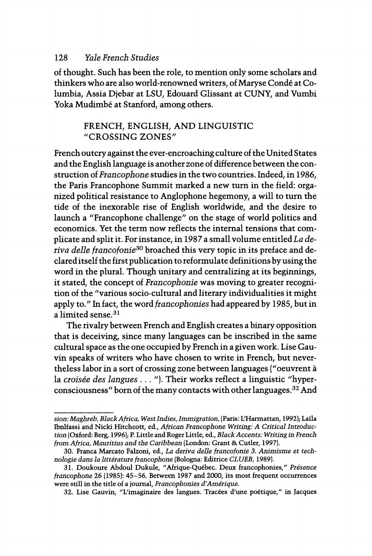of thought. Such has been the role, to mention only some scholars and thinkers who are also world-renowned writers, of Maryse Conde at Co lumbia, Assia Djebar at LSU, Edouard Glissant at CUNY, and Vumbi Yoka Mudimbe at Stanford, among others.

#### FRENCH, ENGLISH, AND LINGUISTIC "CROSSING ZONES"

 French outcry against the ever-encroaching culture of the United States and the English language is another zone of difference between the con struction of Francophone studies in the two countries. Indeed, in 1986, the Paris Francophone Summit marked a new turn in the field: orga nized political resistance to Anglophone hegemony, a will to turn the tide of the inexorable rise of English worldwide, and the desire to launch a "Francophone challenge" on the stage of world politics and economics. Yet the term now reflects the internal tensions that com plicate and split it. For instance, in 1987 a small volume entitled La de riva delle francofonie<sup>30</sup> broached this very topic in its preface and de clared itself the first publication to reformulate definitions by using the word in the plural. Though unitary and centralizing at its beginnings, it stated, the concept of Francophonie was moving to greater recogni tion of the "various socio-cultural and literary individualities it might apply to." In fact, the word francophonies had appeared by 1985, but in a limited sense.<sup>31</sup>

 The rivalry between French and English creates a binary opposition that is deceiving, since many languages can be inscribed in the same cultural space as the one occupied by French in a given work. Lise Gau vin speaks of writers who have chosen to write in French, but never theless labor in a sort of crossing zone between languages ("oeuvrent a la croisée des langues ... "). Their works reflect a linguistic "hyperconsciousness" born of the many contacts with other languages.32 And

sion: Maghreb, Black Africa, West Indies, Immigration, (Paris: L'Harmattan, 1992); Laila Ibnlfassi and Nicki Hitchcott, ed., African Francophone Writing: A Critical Introduc tion (Oxford: Berg, 1996); P. Little and Roger Little, ed., Black Accents: Writing in French from Africa, Mauritius and the Caribbean (London: Grant & Cutler, 1997).

 <sup>30.</sup> Franca Marcato Falzoni, ed., La deriva delle francofonie 3. Animisme et tech nologie dans la littérature francophone (Bologna: Editrice CLUEB, 1989).

<sup>31.</sup> Doukoure Abdoul Dukule, "Afrique-Québec. Deux francophonies," Présence francophone 26 (1985): 45-56. Between 1987 and 2000, its most frequent occurrences were still in the title of a journal, Francophonies d'Amérique.

<sup>32.</sup> Lise Gauvin, "L'imaginaire des langues. Tracées d'une poétique," in Jacques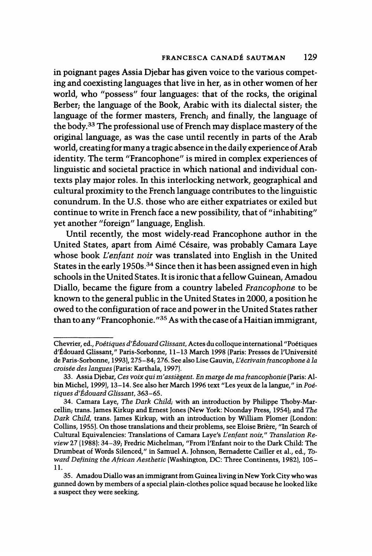in poignant pages Assia Djebar has given voice to the various compet ing and coexisting languages that live in her, as in other women of her world, who "possess" four languages: that of the rocks, the original Berber; the language of the Book, Arabic with its dialectal sister; the language of the former masters, French; and finally, the language of the body.33 The professional use of French may displace mastery of the original language, as was the case until recently in parts of the Arab world, creating for many a tragic absence in the daily experience of Arab identity. The term "Francophone" is mired in complex experiences of linguistic and societal practice in which national and individual con texts play major roles. In this interlocking network, geographical and cultural proximity to the French language contributes to the linguistic conundrum. In the U.S. those who are either expatriates or exiled but continue to write in French face a new possibility, that of "inhabiting" yet another "foreign" language, English.

 Until recently, the most widely-read Francophone author in the United States, apart from Aime Cesaire, was probably Camara Laye whose book L'enfant noir was translated into English in the United States in the early 1950s.34 Since then it has been assigned even in high schools in the United States. It is ironic that a fellow Guinean, Amadou Diallo, became the figure from a country labeled Francophone to be known to the general public in the United States in 2000, a position he owed to the configuration of race and power in the United States rather than to any "Francophonie."35 As with the case of a Haitian immigrant,

Chevrier, ed., Poétiques d'Édouard Glissant, Actes du colloque international "Poétiques d'Édouard Glissant," Paris-Sorbonne, 11-13 March 1998 (Paris: Presses de l'Université de Paris-Sorbonne, 1993), 275-84; 276. See also Lise Gauvin, L'écrivain francophone à la croisee des langues (Paris: Karthala, 1997).

 <sup>33.</sup> Assia Djebar, Ces voix qui m'assiegent. En marge de ma francophonie (Paris: Al bin Michel, 1999), 13-14. See also her March 1996 text "Les yeux de la langue," in Poétiques d'Edouard Glissant, 363-65.

 <sup>34.</sup> Camara Laye, The Dark Child; with an introduction by Philippe Thoby-Mar cellin; trans. James Kirkup and Ernest Jones (New York: Noonday Press, 1954); and The Dark Child, trans. James Kirkup, with an introduction by William Plomer (London: Collins, 1955). On those translations and their problems, see Eloise Briere, "In Search of Cultural Equivalencies: Translations of Camara Laye's L'enfant noir," Translation Re view 27 (1988): 34-39; Fredric Michelman, "From l'Enfant noir to the Dark Child: The Drumbeat of Words Silenced," in Samuel A. Johnson, Bernadette Cailler et al., ed., To ward Defining the African Aesthetic (Washington, DC: Three Continents, 1982), 105- 11.

 <sup>35.</sup> Amadou Diallo was an immigrant from Guinea living in New York City who was gunned down by members of a special plain-clothes police squad because he looked like a suspect they were seeking.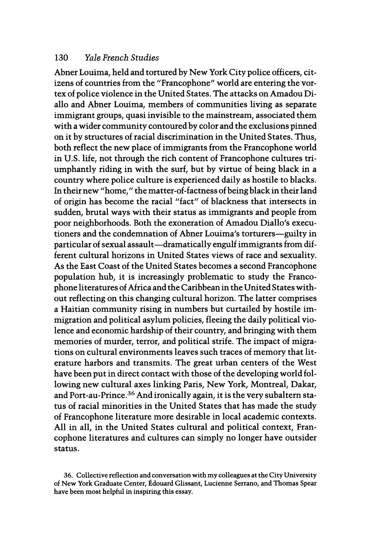Abner Louima, held and tortured by New York City police officers, cit izens of countries from the "Francophone" world are entering the vor tex of police violence in the United States. The attacks on Amadou Di allo and Abner Louima, members of communities living as separate immigrant groups, quasi invisible to the mainstream, associated them with a wider community contoured by color and the exclusions pinned on it by structures of racial discrimination in the United States. Thus, both reflect the new place of immigrants from the Francophone world in U.S. life, not through the rich content of Francophone cultures tri umphantly riding in with the surf, but by virtue of being black in a country where police culture is experienced daily as hostile to blacks. In their new "home, " the matter-of-factness of being black in their land of origin has become the racial "fact" of blackness that intersects in sudden, brutal ways with their status as immigrants and people from poor neighborhoods. Both the exoneration of Amadou Diallo's execu tioners and the condemnation of Abner Louima's torturers-guilty in particular of sexual assault-dramatically engulf immigrants from dif ferent cultural horizons in United States views of race and sexuality. As the East Coast of the United States becomes a second Francophone population hub, it is increasingly problematic to study the Franco phone literatures of Africa and the Caribbean in the United States with out reflecting on this changing cultural horizon. The latter comprises a Haitian community rising in numbers but curtailed by hostile im migration and political asylum policies, fleeing the daily political vio lence and economic hardship of their country, and bringing with them memories of murder, terror, and political strife. The impact of migra tions on cultural environments leaves such traces of memory that lit erature harbors and transmits. The great urban centers of the West have been put in direct contact with those of the developing world fol lowing new cultural axes linking Paris, New York, Montreal, Dakar, and Port-au-Prince.<sup>36</sup> And ironically again, it is the very subaltern sta tus of racial minorities in the United States that has made the study of Francophone literature more desirable in local academic contexts. All in all, in the United States cultural and political context, Fran cophone literatures and cultures can simply no longer have outsider status.

 36. Collective reflection and conversation with my colleagues at the City University of New York Graduate Center, tdouard Glissant, Lucienne Serrano, and Thomas Spear have been most helpful in inspiring this essay.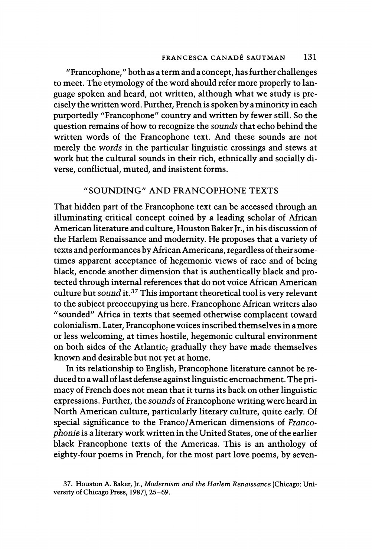#### FRANCESCA CANADÉ SAUTMAN 131

 "Francophone," both as a term and a concept, has further challenges to meet. The etymology of the word should refer more properly to lan guage spoken and heard, not written, although what we study is pre cisely the written word. Further, French is spoken by a minority in each purportedly "Francophone" country and written by fewer still. So the question remains of how to recognize the sounds that echo behind the written words of the Francophone text. And these sounds are not merely the words in the particular linguistic crossings and stews at work but the cultural sounds in their rich, ethnically and socially di verse, conflictual, muted, and insistent forms.

#### "SOUNDING" AND FRANCOPHONE TEXTS

 That hidden part of the Francophone text can be accessed through an illuminating critical concept coined by a leading scholar of African American literature and culture, Houston Baker Jr., in his discussion of the Harlem Renaissance and modernity. He proposes that a variety of texts and performances by African Americans, regardless of their some times apparent acceptance of hegemonic views of race and of being black, encode another dimension that is authentically black and pro tected through internal references that do not voice African American culture but sound it.37 This important theoretical tool is very relevant to the subject preoccupying us here. Francophone African writers also "sounded" Africa in texts that seemed otherwise complacent toward colonialism. Later, Francophone voices inscribed themselves in a more or less welcoming, at times hostile, hegemonic cultural environment on both sides of the Atlantic; gradually they have made themselves known and desirable but not yet at home.

 In its relationship to English, Francophone literature cannot be re duced to a wall of last defense against linguistic encroachment. The pri macy of French does not mean that it turns its back on other linguistic expressions. Further, the sounds of Francophone writing were heard in North American culture, particularly literary culture, quite early. Of special significance to the Franco/American dimensions of Franco phonie is a literary work written in the United States, one of the earlier black Francophone texts of the Americas. This is an anthology of eighty-four poems in French, for the most part love poems, by seven-

 <sup>37.</sup> Houston A. Baker, Jr., Modernism and the Harlem Renaissance (Chicago: Uni versity of Chicago Press, 1987), 25-69.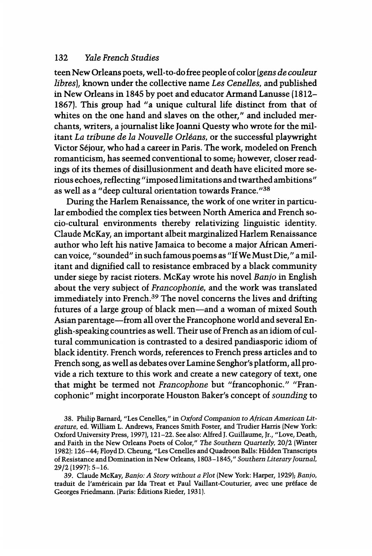teen New Orleans poets, well-to-do free people of color (gens de couleur libres), known under the collective name Les Cenelles, and published in New Orleans in 1845 by poet and educator Armand Lanusse (1812- 1867). This group had "a unique cultural life distinct from that of whites on the one hand and slaves on the other," and included mer chants, writers, a journalist like Joanni Questy who wrote for the mil itant La tribune de la Nouvelle Orléans, or the successful playwright Victor Sejour, who had a career in Paris. The work, modeled on French romanticism, has seemed conventional to some; however, closer read ings of its themes of disillusionment and death have elicited more se rious echoes, reflecting "imposed limitations and twarthed ambitions" as well as a "deep cultural orientation towards France."38

 During the Harlem Renaissance, the work of one writer in particu lar embodied the complex ties between North America and French so cio-cultural environments thereby relativizing linguistic identity. Claude McKay, an important albeit marginalized Harlem Renaissance author who left his native Jamaica to become a major African Ameri can voice, "sounded" in such famous poems as "If We Must Die," a mil itant and dignified call to resistance embraced by a black community under siege by racist rioters. McKay wrote his novel Banjo in English about the very subject of Francophonie, and the work was translated immediately into French.<sup>39</sup> The novel concerns the lives and drifting futures of a large group of black men-and a woman of mixed South Asian parentage-from all over the Francophone world and several En glish-speaking countries as well. Their use of French as an idiom of cul tural communication is contrasted to a desired pandiasporic idiom of black identity. French words, references to French press articles and to French song, as well as debates over Lamine Senghor's platform, all pro vide a rich texture to this work and create a new category of text, one that might be termed not Francophone but "francophonic." "Fran cophonic" might incorporate Houston Baker's concept of sounding to

 38. Philip Barnard, "Les Cenelles," in Oxford Companion to African American Lit erature, ed. William L. Andrews, Frances Smith Foster, and Trudier Harris (New York: Oxford University Press, 1997), 121-22. See also: Alfred J. Guillaume, Jr., "Love, Death, and Faith in the New Orleans Poets of Color," The Southern Quarterly, 20/2 (Winter 1982): 126-44; Floyd D. Cheung, "Les Cenelles and Quadroon Balls: Hidden Transcripts of Resistance and Domination in New Orleans, 1803-1845," Southern Literary Journal, 29/2(1997):5-16.

 39. Claude McKay, Banjo: A Story without a Plot (New York: Harper, 1929); Banjo, traduit de l'americain par Ida Treat et Paul Vaillant-Couturier, avec une preface de Georges Friedmann. (Paris: Éditions Rieder, 1931).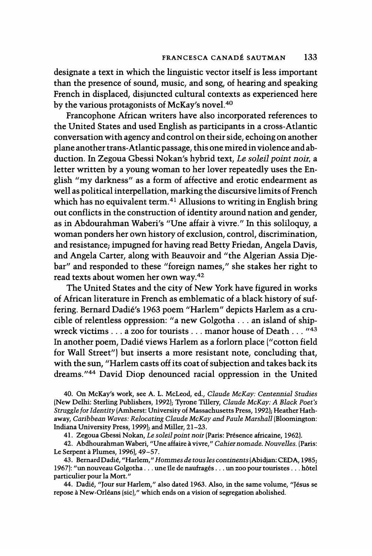designate a text in which the linguistic vector itself is less important than the presence of sound, music, and song, of hearing and speaking French in displaced, disjuncted cultural contexts as experienced here by the various protagonists of McKay's novel.40

 Francophone African writers have also incorporated references to the United States and used English as participants in a cross-Atlantic conversation with agency and control on their side, echoing on another plane another trans-Atlantic passage, this one mired in violence and ab duction. In Zegoua Gbessi Nokan's hybrid text, Le soleil point noir, a letter written by a young woman to her lover repeatedly uses the En glish "my darkness" as a form of affective and erotic endearment as well as political interpellation, marking the discursive limits of French which has no equivalent term.<sup>41</sup> Allusions to writing in English bring out conflicts in the construction of identity around nation and gender, as in Abdourahman Waberi's "Une affair a vivre." In this soliloquy, a woman ponders her own history of exclusion, control, discrimination, and resistance; impugned for having read Betty Friedan, Angela Davis, and Angela Carter, along with Beauvoir and "the Algerian Assia Dje bar" and responded to these "foreign names," she stakes her right to read texts about women her own way.42

 The United States and the city of New York have figured in works of African literature in French as emblematic of a black history of suf fering. Bernard Dadie's 1963 poem "Harlem" depicts Harlem as a cru cible of relentless oppression: "a new Golgotha ... an island of ship wreck victims . . . a zoo for tourists . . . manor house of Death . . . "43 In another poem, Dadie views Harlem as a forlorn place ("cotton field for Wall Street") but inserts a more resistant note, concluding that, with the sun, "Harlem casts off its coat of subjection and takes back its dreams."44 David Diop denounced racial oppression in the United

 40. On McKay's work, see A. L. McLeod, ed., Claude McKay: Centennial Studies (New Delhi: Sterling Publishers, 1992); Tyrone Tillery, Claude McKay: A Black Poet's Struggle for Identity (Amherst: University of Massachusetts Press, 1992); Heather Hath away, Caribbean Waves: Relocating Claude McKay and Paule Marshall (Bloomington: Indiana University Press, 1999); and Miller, 21-23.

41. Zegoua Gbessi Nokan, Le soleil point noir (Paris: Présence africaine, 1962).

42. Abdhourahman Waberi, "Une affaire à vivre," Cahier nomade. Nouvelles. (Paris: Le Serpent a Plumes, 1996), 49-57.

43. Bernard Dadié, "Harlem," Hommes de tous les continents (Abidjan: CEDA, 1985; 1967): "un nouveau Golgotha . . . une île de naufragés . . . un zoo pour touristes . . . hôtel particulier pour la Mort."

44. Dadié, "Jour sur Harlem," also dated 1963. Also, in the same volume, "Jésus se repose a New-Orleans (sic)," which ends on a vision of segregation abolished.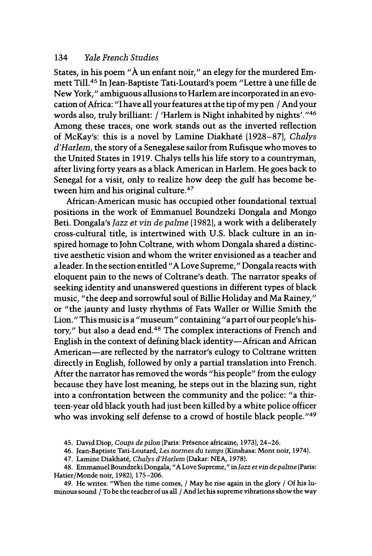States, in his poem "A un enfant noir," an elegy for the murdered Emmett Till.<sup>45</sup> In Jean-Baptiste Tati-Loutard's poem "Lettre à une fille de New York," ambiguous allusions to Harlem are incorporated in an evo cation of Africa: "I have all your features at the tip of my pen / And your words also, truly brilliant: / 'Harlem is Night inhabited by nights'."46 Among these traces, one work stands out as the inverted reflection of McKay's: this is a novel by Lamine Diakhate (1928-87), Chalys d'Harlem, the story of a Senegalese sailor from Rufisque who moves to the United States in 1919. Chalys tells his life story to a countryman, after living forty years as a black American in Harlem. He goes back to Senegal for a visit, only to realize how deep the gulf has become be tween him and his original culture.47

 African-American music has occupied other foundational textual positions in the work of Emmanuel Boundzeki Dongala and Mongo Beti. Dongala's Jazz et vin de palme (1982), a work with a deliberately cross-cultural title, is intertwined with U.S. black culture in an in spired homage to John Coltrane, with whom Dongala shared a distinc tive aesthetic vision and whom the writer envisioned as a teacher and a leader. In the section entitled "A Love Supreme, " Dongala reacts with eloquent pain to the news of Coltrane's death. The narrator speaks of seeking identity and unanswered questions in different types of black music, "the deep and sorrowful soul of Billie Holiday and Ma Rainey," or "the jaunty and lusty rhythms of Fats Waller or Willie Smith the Lion." This music is a "museum" containing "a part of our people's his tory," but also a dead end.<sup>48</sup> The complex interactions of French and English in the context of defining black identity-African and African American—are reflected by the narrator's eulogy to Coltrane written directly in English, followed by only a partial translation into French. After the narrator has removed the words "his people" from the eulogy because they have lost meaning, he steps out in the blazing sun, right into a confrontation between the community and the police: "a thir teen-year old black youth had just been killed by a white police officer who was invoking self defense to a crowd of hostile black people.<sup>"49</sup>

45. David Diop, Coups depilon (Paris: Presence africaine, 1973), 24-26.

46. Jean-Baptiste Tati-Loutard, Les normes du temps (Kinshasa: Mont noir, 1974).

47. Lamine Diakhate, Chalys d'Harlem (Dakar: NEA, 1978).

48. Emmanuel Boundzeki Dongala, "A Love Supreme," in Jazz et vin de palme (Paris: Hatier/Monde noir, 1982), 175-206.

 49. He writes: "When the time comes, / May he rise again in the glory / Of his lu minous sound / To be the teacher of us all / And let his supreme vibrations show the way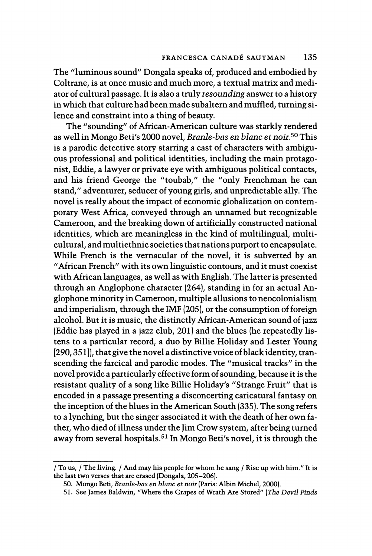The "luminous sound" Dongala speaks of, produced and embodied by Coltrane, is at once music and much more, a textual matrix and medi ator of cultural passage. It is also a truly resounding answer to a history in which that culture had been made subaltern and muffled, turning si lence and constraint into a thing of beauty.

 The "sounding" of African-American culture was starkly rendered as well in Mongo Beti's 2000 novel, Branle-bas en blanc et noir.50 This is a parodic detective story starring a cast of characters with ambigu ous professional and political identities, including the main protago nist, Eddie, a lawyer or private eye with ambiguous political contacts, and his friend George the "toubab," the "only Frenchman he can stand," adventurer, seducer of young girls, and unpredictable ally. The novel is really about the impact of economic globalization on contem porary West Africa, conveyed through an unnamed but recognizable Cameroon, and the breaking down of artificially constructed national identities, which are meaningless in the kind of multilingual, multi cultural, and multiethnic societies that nations purport to encapsulate. While French is the vernacular of the novel, it is subverted by an "African French" with its own linguistic contours, and it must coexist with African languages, as well as with English. The latter is presented through an Anglophone character (264), standing in for an actual An glophone minority in Cameroon, multiple allusions to neocolonialism and imperialism, through the IMF (205), or the consumption of foreign alcohol. But it is music, the distinctly African-American sound of jazz (Eddie has played in a jazz club, 201) and the blues (he repeatedly lis tens to a particular record, a duo by Billie Holiday and Lester Young [290, 351]), that give the novel a distinctive voice of black identity, tran scending the farcical and parodic modes. The "musical tracks" in the novel provide a particularly effective form of sounding, because it is the resistant quality of a song like Billie Holiday's "Strange Fruit" that is encoded in a passage presenting a disconcerting caricatural fantasy on the inception of the blues in the American South (335). The song refers to a lynching, but the singer associated it with the death of her own fa ther, who died of illness under the Jim Crow system, after being turned away from several hospitals.51 In Mongo Beti's novel, it is through the

 <sup>/</sup> To us, / The living. / And may his people for whom he sang / Rise up with him." It is the last two verses that are erased (Dongala, 205-206).

 <sup>50.</sup> Mongo Beti, Branle-bas en blanc et noir (Paris: Albin Michel, 2000).

 <sup>51.</sup> See James Baldwin, "Where the Grapes of Wrath Are Stored" (The Devil Finds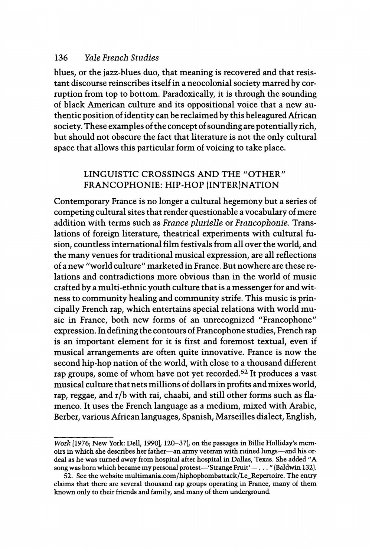blues, or the jazz-blues duo, that meaning is recovered and that resis tant discourse reinscribes itself in a neocolonial society marred by cor ruption from top to bottom. Paradoxically, it is through the sounding of black American culture and its oppositional voice that a new au thentic position of identity can be reclaimed by this beleagured African society. These examples of the concept of sounding are potentially rich, but should not obscure the fact that literature is not the only cultural space that allows this particular form of voicing to take place.

#### LINGUISTIC CROSSINGS AND THE "OTHER" FRANCOPHONIE: HIP-HOP (INTER)NATION

 Contemporary France is no longer a cultural hegemony but a series of competing cultural sites that render questionable a vocabulary of mere addition with terms such as France plurielle or Francophonie. Trans lations of foreign literature, theatrical experiments with cultural fu sion, countless international film festivals from all over the world, and the many venues for traditional musical expression, are all reflections of a new "world culture" marketed in France. But nowhere are these re lations and contradictions more obvious than in the world of music crafted by a multi-ethnic youth culture that is a messenger for and wit ness to community healing and community strife. This music is prin cipally French rap, which entertains special relations with world mu sic in France, both new forms of an unrecognized "Francophone" expression. In defining the contours of Francophone studies, French rap is an important element for it is first and foremost textual, even if musical arrangements are often quite innovative. France is now the second hip-hop nation of the world, with close to a thousand different rap groups, some of whom have not yet recorded.<sup>52</sup> It produces a vast musical culture that nets millions of dollars in profits and mixes world, rap, reggae, and r/b with rai, chaabi, and still other forms such as fla menco. It uses the French language as a medium, mixed with Arabic, Berber, various African languages, Spanish, Marseilles dialect, English,

Work [1976; New York: Dell, 1990], 120-37), on the passages in Billie Holiday's mem oirs in which she describes her father-an army veteran with ruined lungs-and his or deal as he was turned away from hospital after hospital in Dallas, Texas. She added "A song was born which became my personal protest-'Strange Fruit'-... " (Baldwin 132).

 <sup>52.</sup> See the website multimania.com/hiphopbombattack/Le\_Repertoire. The entry claims that there are several thousand rap groups operating in France, many of them known only to their friends and family, and many of them underground.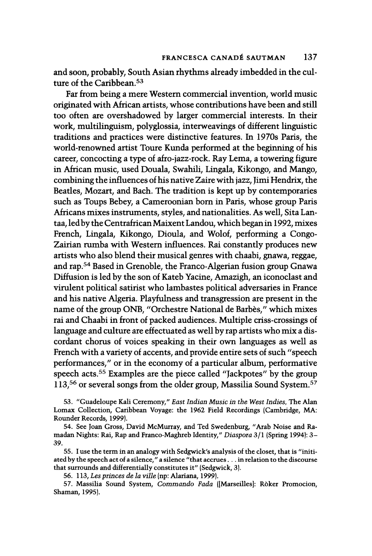and soon, probably, South Asian rhythms already imbedded in the cul ture of the Caribbean.<sup>53</sup>

 Far from being a mere Western commercial invention, world music originated with African artists, whose contributions have been and still too often are overshadowed by larger commercial interests. In their work, multilinguism, polyglossia, interweavings of different linguistic traditions and practices were distinctive features. In 1970s Paris, the world-renowned artist Toure Kunda performed at the beginning of his career, concocting a type of afro-jazz-rock. Ray Lema, a towering figure in African music, used Douala, Swahili, Lingala, Kikongo, and Mango, combining the influences of his native Zaire with jazz, Jimi Hendrix, the Beatles, Mozart, and Bach. The tradition is kept up by contemporaries such as Toups Bebey, a Cameroonian born in Paris, whose group Paris Africans mixes instruments, styles, and nationalities. As well, Sita Lan taa, led by the Centrafrican Maixent Landou, which began in 1992, mixes French, Lingala, Kikongo, Dioula, and Wolof, performing a Congo- Zairian rumba with Western influences. Rai constantly produces new artists who also blend their musical genres with chaabi, gnawa, reggae, and rap.54 Based in Grenoble, the Franco-Algerian fusion group Gnawa Diffusion is led by the son of Kateb Yacine, Amazigh, an iconoclast and virulent political satirist who lambastes political adversaries in France and his native Algeria. Playfulness and transgression are present in the name of the group ONB, "Orchestre National de Barbes," which mixes rai and Chaabi in front of packed audiences. Multiple criss-crossings of language and culture are effectuated as well by rap artists who mix a dis cordant chorus of voices speaking in their own languages as well as French with a variety of accents, and provide entire sets of such "speech performances," or in the economy of a particular album, performative speech acts.<sup>55</sup> Examples are the piece called "Jackpotes" by the group 113,56 or several songs from the older group, Massilia Sound System.57

 53. "Guadeloupe Kali Ceremony," East Indian Music in the West Indies, The Alan Lomax Collection, Caribbean Voyage: the 1962 Field Recordings (Cambridge, MA: Rounder Records, 1999).

 54. See Joan Gross, David McMurray, and Ted Swedenburg, "Arab Noise and Ra madan Nights: Rai, Rap and Franco-Maghreb Identity," Diaspora 3/1 (Spring 1994): 3- 39.

 55. I use the term in an analogy with Sedgwick's analysis of the closet, that is "initi ated by the speech act of a silence," a silence "that accrues... in relation to the discourse that surrounds and differentially constitutes it" (Sedgwick, 3).

56. 113, Les princes de la ville (np: Alariana, 1999).

57. Massilia Sound System, Commando Fada ([Marseilles]: Ròker Promocion, Shaman, 1995).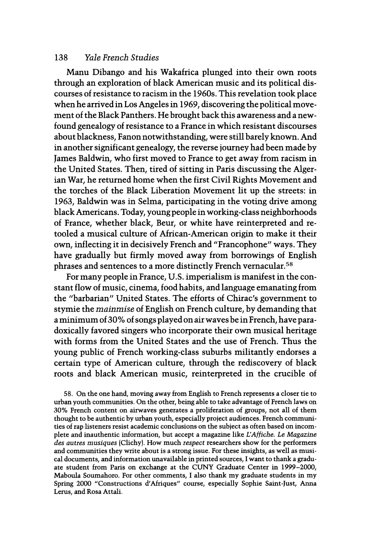Manu Dibango and his Wakafrica plunged into their own roots through an exploration of black American music and its political dis courses of resistance to racism in the 1960s. This revelation took place when he arrived in Los Angeles in 1969, discovering the political move ment of the Black Panthers. He brought back this awareness and a new found genealogy of resistance to a France in which resistant discourses about blackness, Fanon notwithstanding, were still barely known. And in another significant genealogy, the reverse journey had been made by James Baldwin, who first moved to France to get away from racism in the United States. Then, tired of sitting in Paris discussing the Alger ian War, he returned home when the first Civil Rights Movement and the torches of the Black Liberation Movement lit up the streets: in 1963, Baldwin was in Selma, participating in the voting drive among black Americans. Today, young people in working-class neighborhoods of France, whether black, Beur, or white have reinterpreted and re tooled a musical culture of African-American origin to make it their own, inflecting it in decisively French and "Francophone" ways. They have gradually but firmly moved away from borrowings of English phrases and sentences to a more distinctly French vernacular.58

 For many people in France, U.S. imperialism is manifest in the con stant flow of music, cinema, food habits, and language emanating from the "barbarian" United States. The efforts of Chirac's government to stymie the mainmise of English on French culture, by demanding that a minimum of 30% of songs played on airwaves be in French, have para doxically favored singers who incorporate their own musical heritage with forms from the United States and the use of French. Thus the young public of French working-class suburbs militantly endorses a certain type of American culture, through the rediscovery of black roots and black American music, reinterpreted in the crucible of

 58. On the one hand, moving away from English to French represents a closer tie to urban youth communities. On the other, being able to take advantage of French laws on 30% French content on airwaves generates a proliferation of groups, not all of them thought to be authentic by urban youth, especially project audiences. French communi ties of rap listeners resist academic conclusions on the subject as often based on incom plete and inauthentic information, but accept a magazine like L'Affiche. Le Magazine des autres musiques (Clichy). How much respect researchers show for the performers and communities they write about is a strong issue. For these insights, as well as musi cal documents, and information unavailable in printed sources, I want to thank a gradu ate student from Paris on exchange at the CUNY Graduate Center in 1999-2000, Maboula Soumahoro. For other comments, I also thank my graduate students in my Spring 2000 "Constructions d'Afriques" course, especially Sophie Saint-Just, Anna Lerus, and Rosa Attali.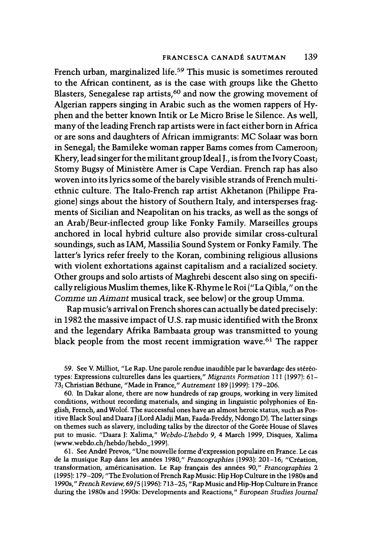French urban, marginalized life.59 This music is sometimes rerouted to the African continent, as is the case with groups like the Ghetto Blasters, Senegalese rap artists,<sup>60</sup> and now the growing movement of Algerian rappers singing in Arabic such as the women rappers of Hy phen and the better known Intik or Le Micro Brise le Silence. As well, many of the leading French rap artists were in fact either born in Africa or are sons and daughters of African immigrants: MC Solaar was born in Senegal; the Bamileke woman rapper Bams comes from Cameroon; Khery, lead singer for the militant group Ideal J., is from the Ivory Coast; Stomy Bugsy of Ministere Amer is Cape Verdian. French rap has also woven into its lyrics some of the barely visible strands of French multi ethnic culture. The Italo-French rap artist Akhetanon (Philippe Fra gione) sings about the history of Southern Italy, and intersperses frag ments of Sicilian and Neapolitan on his tracks, as well as the songs of an Arab/Beur-inflected group like Fonky Family. Marseilles groups anchored in local hybrid culture also provide similar cross-cultural soundings, such as IAM, Massilia Sound System or Fonky Family. The latter's lyrics refer freely to the Koran, combining religious allusions with violent exhortations against capitalism and a racialized society. Other groups and solo artists of Maghrebi descent also sing on specifi cally religious Muslim themes, like K-Rhyme le Roi ("La Qibla," on the Comme un Aimant musical track, see below) or the group Umma.

 Rap music's arrival on French shores can actually be dated precisely: in 1982 the massive impact of U.S. rap music identified with the Bronx and the legendary Afrika Bambaata group was transmitted to young black people from the most recent immigration wave.<sup>61</sup> The rapper

 59. See V. Milliot, "Le Rap. Une parole rendue inaudible par le bavardage des stereo types: Expressions culturelles dans les quartiers," Migrants Formation 111 (1997): 61- 73; Christian Béthune, "Made in France," Autrement 189 (1999): 179-206.

 60. In Dakar alone, there are now hundreds of rap groups, working in very limited conditions, without recording materials, and singing in linguistic polyphonies of En glish, French, and Wolof. The successful ones have an almost heroic status, such as Pos itive Black Soul and Daara J (Lord Aladji Man, Faada-Freddy, Ndongo D). The latter sings on themes such as slavery, including talks by the director of the Gorée House of Slaves put to music. "Daara J: Xalima," Webdo-L'hebdo 9, 4 March 1999, Disques, Xalima (www.webdo.ch/hebdo/hebdo 1999).

 61. See Andre Prevos, "Une nouvelle forme d'expression populaire en France. Le cas de la musique Rap dans les années 1980," Francographies (1993): 201-16; "Création, transformation, américanisation. Le Rap français des années 90," Francographies 2 (1995): 179-209; "The Evolution of French Rap Music: Hip Hop Culture in the 1980s and 1990s," French Review, 69/5 (1996): 713-25; "Rap Music and Hip-Hop Culture in France during the 1980s and 1990s: Developments and Reactions," European Studies Journal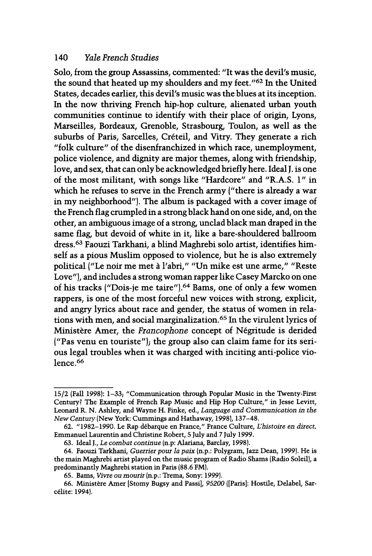Solo, from the group Assassins, commented: "It was the devil's music, the sound that heated up my shoulders and my feet."62 In the United States, decades earlier, this devil's music was the blues at its inception. In the now thriving French hip-hop culture, alienated urban youth communities continue to identify with their place of origin, Lyons, Marseilles, Bordeaux, Grenoble, Strasbourg, Toulon, as well as the suburbs of Paris, Sarcelles, Créteil, and Vitry. They generate a rich "folk culture" of the disenfranchized in which race, unemployment, police violence, and dignity are major themes, along with friendship, love, and sex, that can only be acknowledged briefly here. Ideal J. is one of the most militant, with songs like "Hardcore" and "R.A.S. 1" in which he refuses to serve in the French army ("there is already a war in my neighborhood"). The album is packaged with a cover image of the French flag crumpled in a strong black hand on one side, and, on the other, an ambiguous image of a strong, unclad black man draped in the same flag, but devoid of white in it, like a bare-shouldered ballroom dress.63 Faouzi Tarkhani, a blind Maghrebi solo artist, identifies him self as a pious Muslim opposed to violence, but he is also extremely political ("Le noir me met a l'abri," "Un mike est une arme," "Reste Love"), and includes a strong woman rapper like Casey Marcko on one of his tracks ("Dois-je me taire").<sup>64</sup> Bams, one of only a few women rappers, is one of the most forceful new voices with strong, explicit, and angry lyrics about race and gender, the status of women in rela tions with men, and social marginalization.65 In the virulent lyrics of Ministère Amer, the Francophone concept of Négritude is derided ("Pas venu en touriste"); the group also can claim fame for its seri ous legal troubles when it was charged with inciting anti-police vio lence.66

 <sup>15/2 (</sup>Fall 1998): 1-33; "Communication through Popular Music in the Twenty-First Century? The Example of French Rap Music and Hip Hop Culture," in Jesse Levitt, Leonard R. N. Ashley, and Wayne H. Finke, ed., Language and Communication in the New Century (New York: Cummings and Hathaway, 1998), 137-48.

 <sup>62. &</sup>quot;1982-1990. Le Rap debarque en France," France Culture, L'histoire en direct, Emmanuel Laurentin and Christine Robert, 5 July and 7 July 1999.

 <sup>63.</sup> Ideal J., Le combat continue (n.p: Alariana, Barclay, 1998).

 <sup>64.</sup> Faouzi Tarkhani, Guerrier pour la paix (n.p.: Polygram, Jazz Dean, 1999). He is the main Maghrebi artist played on the music program of Radio Shams (Radio Soleil), a predominantly Maghrebi station in Paris (88.6 FM).

 <sup>65.</sup> Bams, Vivre ou mourir (n.p.: Trema, Sony: 1999).

 <sup>66.</sup> Ministere Amer [Stomy Bugsy and Passi], 95200 ([Paris]: Hostile, Delabel, Sar célite: 1994).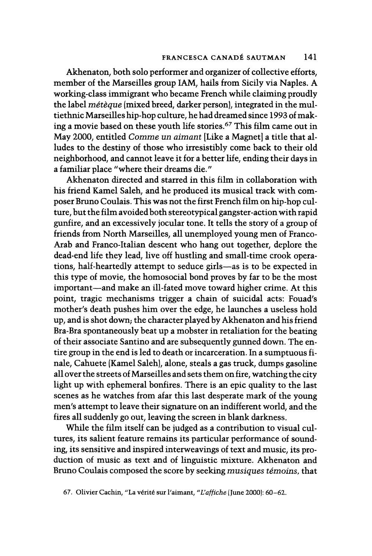Akhenaton, both solo performer and organizer of collective efforts, member of the Marseilles group IAM, hails from Sicily via Naples. A working-class immigrant who became French while claiming proudly the label métèque (mixed breed, darker person), integrated in the mul tiethnic Marseilles hip-hop culture, he had dreamed since 1993 of mak ing a movie based on these youth life stories.67 This film came out in May 2000, entitled Comme un aimant [Like a Magnet] a title that al ludes to the destiny of those who irresistibly come back to their old neighborhood, and cannot leave it for a better life, ending their days in a familiar place "where their dreams die."

 Akhenaton directed and starred in this film in collaboration with his friend Kamel Saleh, and he produced its musical track with com poser Bruno Coulais. This was not the first French film on hip-hop cul ture, but the film avoided both stereotypical gangster-action with rapid gunfire, and an excessively jocular tone. It tells the story of a group of friends from North Marseilles, all unemployed young men of Franco- Arab and Franco-Italian descent who hang out together, deplore the dead-end life they lead, live off hustling and small-time crook opera tions, half-heartedly attempt to seduce girls-as is to be expected in this type of movie, the homosocial bond proves by far to be the most important-and make an ill-fated move toward higher crime. At this point, tragic mechanisms trigger a chain of suicidal acts: Fouad's mother's death pushes him over the edge, he launches a useless hold up, and is shot down; the character played by Akhenaton and his friend Bra-Bra spontaneously beat up a mobster in retaliation for the beating of their associate Santino and are subsequently gunned down. The en tire group in the end is led to death or incarceration. In a sumptuous fi nale, Cahuete (Kamel Saleh), alone, steals a gas truck, dumps gasoline all over the streets of Marseilles and sets them on fire, watching the city light up with ephemeral bonfires. There is an epic quality to the last scenes as he watches from afar this last desperate mark of the young men's attempt to leave their signature on an indifferent world, and the fires all suddenly go out, leaving the screen in blank darkness.

 While the film itself can be judged as a contribution to visual cul tures, its salient feature remains its particular performance of sound ing, its sensitive and inspired interweavings of text and music, its pro duction of music as text and of linguistic mixture. Akhenaton and Bruno Coulais composed the score by seeking musiques témoins, that

 <sup>67.</sup> Olivier Cachin, "La verite sur l'aimant, "L'affiche (June 2000): 60-62.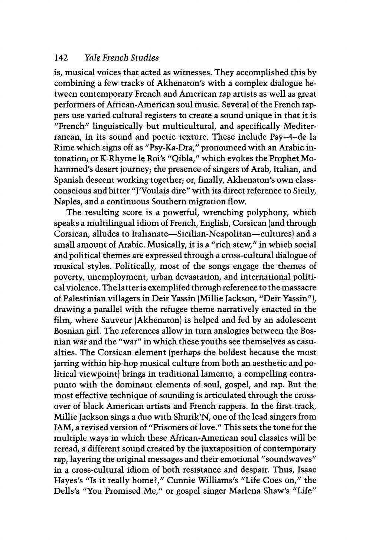is, musical voices that acted as witnesses. They accomplished this by combining a few tracks of Akhenaton's with a complex dialogue be tween contemporary French and American rap artists as well as great performers of African-American soul music. Several of the French rap pers use varied cultural registers to create a sound unique in that it is "French" linguistically but multicultural, and specifically Mediter ranean, in its sound and poetic texture. These include Psy-4-de la Rime which signs off as "Psy-Ka-Dra," pronounced with an Arabic in tonation; or K-Rhyme le Roi's "Qibla," which evokes the Prophet Mo hammed's desert journey; the presence of singers of Arab, Italian, and Spanish descent working together; or, finally, Akhenaton's own class conscious and bitter "J'Voulais dire" with its direct reference to Sicily, Naples, and a continuous Southern migration flow.

 The resulting score is a powerful, wrenching polyphony, which speaks a multilingual idiom of French, English, Corsican (and through Corsican, alludes to Italianate-Sicilian-Neapolitan-cultures) and a small amount of Arabic. Musically, it is a "rich stew," in which social and political themes are expressed through a cross-cultural dialogue of musical styles. Politically, most of the songs engage the themes of poverty, unemployment, urban devastation, and international politi cal violence. The latter is exemplifed through reference to the massacre of Palestinian villagers in Deir Yassin (Millie Jackson, "Deir Yassin"), drawing a parallel with the refugee theme narratively enacted in the film, where Sauveur (Akhenaton) is helped and fed by an adolescent Bosnian girl. The references allow in turn analogies between the Bos nian war and the "war" in which these youths see themselves as casu alties. The Corsican element (perhaps the boldest because the most jarring within hip-hop musical culture from both an aesthetic and po litical viewpoint) brings in traditional lamento, a compelling contra punto with the dominant elements of soul, gospel, and rap. But the most effective technique of sounding is articulated through the cross over of black American artists and French rappers. In the first track, Millie Jackson sings a duo with Shurik'N, one of the lead singers from IAM, a revised version of "Prisoners of love." This sets the tone for the multiple ways in which these African-American soul classics will be reread, a different sound created by the juxtaposition of contemporary rap, layering the original messages and their emotional "soundwaves" in a cross-cultural idiom of both resistance and despair. Thus, Isaac Hayes's "Is it really home?," Cunnie Williams's "Life Goes on," the Dells's "You Promised Me," or gospel singer Marlena Shaw's "Life"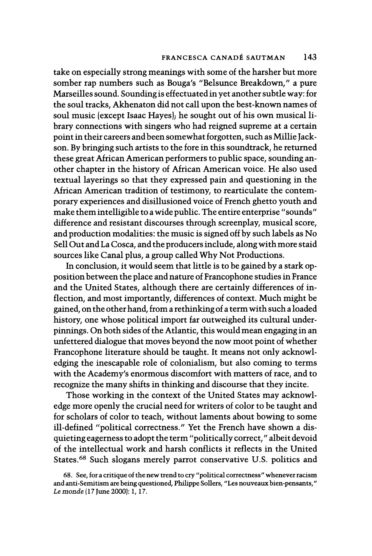take on especially strong meanings with some of the harsher but more somber rap numbers such as Bouga's "Belsunce Breakdown," a pure Marseilles sound. Sounding is effectuated in yet another subtle way: for the soul tracks, Akhenaton did not call upon the best-known names of soul music (except Isaac Hayes); he sought out of his own musical li brary connections with singers who had reigned supreme at a certain point in their careers and been somewhat forgotten, such as Millie Jack son. By bringing such artists to the fore in this soundtrack, he returned these great African American performers to public space, sounding an other chapter in the history of African American voice. He also used textual layerings so that they expressed pain and questioning in the African American tradition of testimony, to rearticulate the contem porary experiences and disillusioned voice of French ghetto youth and make them intelligible to a wide public. The entire enterprise "sounds" difference and resistant discourses through screenplay, musical score, and production modalities: the music is signed off by such labels as No Sell Out and La Cosca, and the producers include, along with more staid sources like Canal plus, a group called Why Not Productions.

 In conclusion, it would seem that little is to be gained by a stark op position between the place and nature of Francophone studies in France and the United States, although there are certainly differences of in flection, and most importantly, differences of context. Much might be gained, on the other hand, from a rethinking of a term with such a loaded history, one whose political import far outweighed its cultural under pinnings. On both sides of the Atlantic, this would mean engaging in an unfettered dialogue that moves beyond the now moot point of whether Francophone literature should be taught. It means not only acknowl edging the inescapable role of colonialism, but also coming to terms with the Academy's enormous discomfort with matters of race, and to recognize the many shifts in thinking and discourse that they incite.

 Those working in the context of the United States may acknowl edge more openly the crucial need for writers of color to be taught and for scholars of color to teach, without laments about bowing to some ill-defined "political correctness." Yet the French have shown a dis quieting eagerness to adopt the term "politically correct, " albeit devoid of the intellectual work and harsh conflicts it reflects in the United States.68 Such slogans merely parrot conservative U.S. politics and

 <sup>68.</sup> See, for a critique of the new trend to cry "political correctness" whenever racism and anti-Semitism are being questioned, Philippe Sollers, "Les nouveaux bien-pensants," Le monde (17 June 2000): 1, 17.